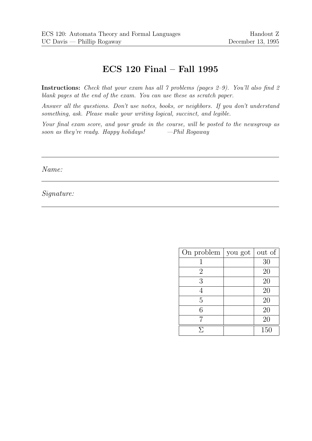# ECS 120 Final – Fall 1995

Instructions: Check that your exam has all 7 problems (pages 2-9). You'll also find 2 blank pages at the end of the exam. You can use these as scratch paper.

Answer all the questions. Don't use notes, books, or neighbors. If you don't understand something, ask. Please make your writing logical, succinct, and legible.

Your final exam score, and your grade in the course, will be posted to the newsgroup as soon as they're ready. Happy holidays!  $-Phil$  Rogaway

Name:

Signature:

| On problem $ $ | you got | out of |
|----------------|---------|--------|
|                |         | 30     |
| 2              |         | 20     |
| 3              |         | 20     |
|                |         | 20     |
| 5              |         | 20     |
| հ              |         | 20     |
|                |         | 20     |
| У.             |         | 150    |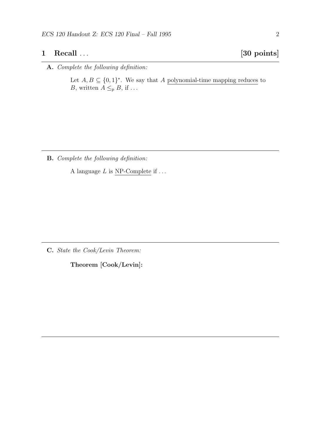## 1 Recall . . . [30 points]

### A. Complete the following definition:

Let  $A, B \subseteq \{0,1\}^*$ . We say that A polynomial-time mapping reduces to B, written  $A \leq_{p} B$ , if ...

B. Complete the following definition:

A language  $L$  is NP-Complete if  $\dots$ 

C. State the Cook/Levin Theorem:

Theorem [Cook/Levin]: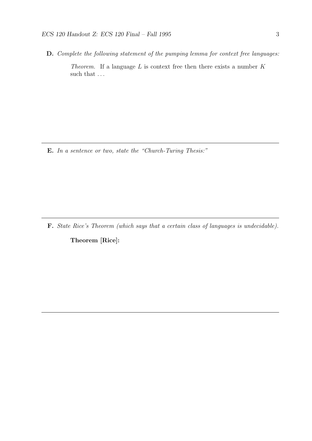D. Complete the following statement of the pumping lemma for context free languages: Theorem. If a language  $L$  is context free then there exists a number  $K$ such that  $\ldots$ 

E. In a sentence or two, state the "Church-Turing Thesis:"

F. State Rice's Theorem (which says that a certain class of languages is undecidable).

Theorem [Rice]: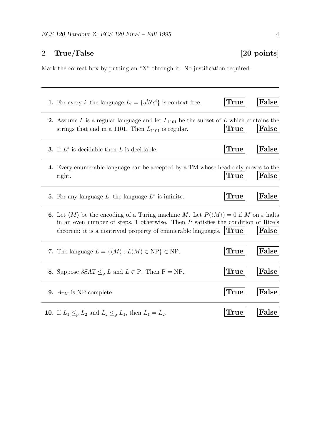## 2 True/False [20 points]

Mark the correct box by putting an "X" through it. No justification required.

| 1. For every <i>i</i> , the language $L_i = \{a^i b^i c^i\}$ is context free.                                                                                                                                                                                                               | True        | False |
|---------------------------------------------------------------------------------------------------------------------------------------------------------------------------------------------------------------------------------------------------------------------------------------------|-------------|-------|
| 2. Assume L is a regular language and let $L_{1101}$ be the subset of L which contains the<br>strings that end in a 1101. Then $L_{1101}$ is regular.                                                                                                                                       | True        | False |
| <b>3.</b> If $L^*$ is decidable then L is decidable.                                                                                                                                                                                                                                        | True        | False |
| 4. Every enumerable language can be accepted by a TM whose head only moves to the<br>right.                                                                                                                                                                                                 | True        | False |
| 5. For any language $L$ , the language $L^*$ is infinite.                                                                                                                                                                                                                                   | <b>True</b> | False |
| <b>6.</b> Let $\langle M \rangle$ be the encoding of a Turing machine M. Let $P(\langle M \rangle) = 0$ if M on $\varepsilon$ halts<br>in an even number of steps, 1 otherwise. Then $P$ satisfies the condition of Rice's<br>theorem: it is a nontrivial property of enumerable languages. | True        | False |
| 7. The language $L = \{ \langle M \rangle : L(M) \in \text{NP} \} \in \text{NP}$ .                                                                                                                                                                                                          | <b>True</b> | False |
| 8. Suppose $3SAT \leq_{p} L$ and $L \in P$ . Then $P = NP$ .                                                                                                                                                                                                                                | True        | False |
| 9. $A_{TM}$ is NP-complete.                                                                                                                                                                                                                                                                 | True        | False |
| <b>10.</b> If $L_1 \leq_{\text{p}} L_2$ and $L_2 \leq_{\text{p}} L_1$ , then $L_1 = L_2$ .                                                                                                                                                                                                  | True        | False |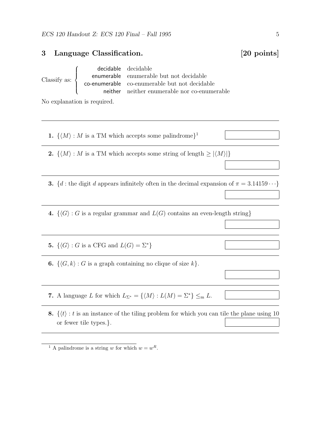### 3 Language Classification. [20 points]

Classify as:  $\sqrt{ }$  $\int$  $\overline{\mathcal{L}}$ decidable decidable enumerable enumerable but not decidable co-enumerable co-enumerable but not decidable neither neither enumerable nor co-enumerable

No explanation is required.

1.  $\{ \langle M \rangle : M$  is a TM which accepts some palindrome}<sup>1</sup>

2.  $\{\langle M \rangle : M \text{ is a TM which accepts some string of length } \geq |\langle M \rangle|\}$ 

- 3. {d : the digit d appears infinitely often in the decimal expansion of  $\pi = 3.14159 \cdots$ }
- 4.  $\{\langle G \rangle : G$  is a regular grammar and  $L(G)$  contains an even-length string}

5.  $\{\langle G \rangle : G$  is a CFG and  $L(G) = \Sigma^*\}$ 

**6.**  $\{\langle G, k \rangle : G$  is a graph containing no clique of size  $k\}.$ 

- 7. A language L for which  $L_{\Sigma^*} = \{ \langle M \rangle : L(M) = \Sigma^* \} \leq_m L$ .
- 8.  $\{\langle t \rangle : t$  is an instance of the tiling problem for which you can tile the plane using 10 or fewer tile types.}.

<sup>&</sup>lt;sup>1</sup> A palindrome is a string w for which  $w = w<sup>R</sup>$ .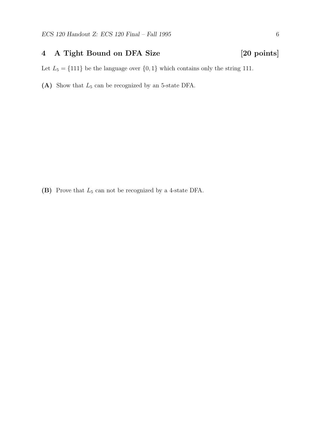### 4 A Tight Bound on DFA Size [20 points]

Let  $L_5 = \{111\}$  be the language over  $\{0, 1\}$  which contains only the string 111.

(A) Show that  $L_5$  can be recognized by an 5-state DFA.

(B) Prove that  $L_5$  can not be recognized by a 4-state DFA.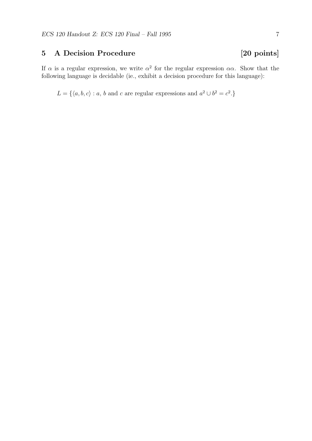## 5 A Decision Procedure [20 points]

If  $\alpha$  is a regular expression, we write  $\alpha^2$  for the regular expression  $\alpha\alpha$ . Show that the following language is decidable (ie., exhibit a decision procedure for this language):

 $L = \{ \langle a, b, c \rangle : a, b \text{ and } c \text{ are regular expressions and } a^2 \cup b^2 = c^2 \}$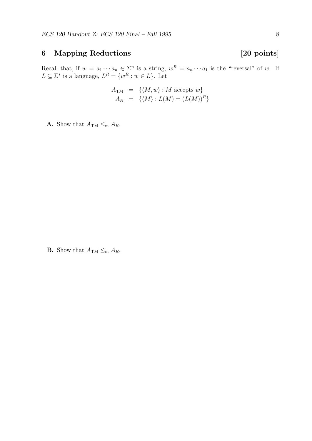# 6 Mapping Reductions [20 points]

Recall that, if  $w = a_1 \cdots a_n \in \Sigma^n$  is a string,  $w^R = a_n \cdots a_1$  is the "reversal" of w. If  $L \subseteq \Sigma^*$  is a language,  $L^R = \{w^R : w \in L\}$ . Let

$$
A_{\text{TM}} = \{ \langle M, w \rangle : M \text{ accepts } w \}
$$
  

$$
A_R = \{ \langle M \rangle : L(M) = (L(M))^R \}
$$

**A.** Show that  $A_{\text{TM}} \leq_{\text{m}} A_R$ .

**B.** Show that  $\overline{A_{\text{TM}}} \leq_{\text{m}} A_R$ .